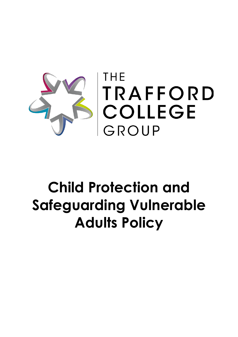

# **Child Protection and Safeguarding Vulnerable Adults Policy**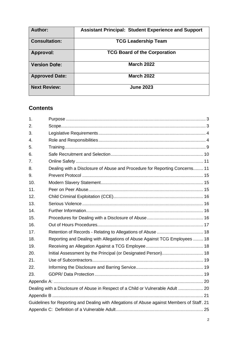| Author:               | <b>Assistant Principal: Student Experience and Support</b> |
|-----------------------|------------------------------------------------------------|
| <b>Consultation:</b>  | <b>TCG Leadership Team</b>                                 |
| Approval:             | <b>TCG Board of the Corporation</b>                        |
| <b>Version Date:</b>  | <b>March 2022</b>                                          |
| <b>Approved Date:</b> | <b>March 2022</b>                                          |
| <b>Next Review:</b>   | <b>June 2023</b>                                           |

# **Contents**

| 1.                                                                                          |                                                                                  |  |  |  |
|---------------------------------------------------------------------------------------------|----------------------------------------------------------------------------------|--|--|--|
| 2.                                                                                          |                                                                                  |  |  |  |
| 3.                                                                                          |                                                                                  |  |  |  |
| 4.                                                                                          |                                                                                  |  |  |  |
| 5.                                                                                          |                                                                                  |  |  |  |
| 6.                                                                                          |                                                                                  |  |  |  |
| 7.                                                                                          |                                                                                  |  |  |  |
| 8.                                                                                          | Dealing with a Disclosure of Abuse and Procedure for Reporting Concerns 11       |  |  |  |
| 9.                                                                                          |                                                                                  |  |  |  |
| 10.                                                                                         |                                                                                  |  |  |  |
| 11.                                                                                         |                                                                                  |  |  |  |
| 12.                                                                                         |                                                                                  |  |  |  |
| 13.                                                                                         |                                                                                  |  |  |  |
| 14.                                                                                         |                                                                                  |  |  |  |
| 15.                                                                                         |                                                                                  |  |  |  |
| 16.                                                                                         |                                                                                  |  |  |  |
| 17.                                                                                         |                                                                                  |  |  |  |
| 18.                                                                                         | Reporting and Dealing with Allegations of Abuse Against TCG Employees  18        |  |  |  |
| 19.                                                                                         |                                                                                  |  |  |  |
| 20.                                                                                         | Initial Assessment by the Principal (or Designated Person) 18                    |  |  |  |
| 21.                                                                                         |                                                                                  |  |  |  |
| 22.                                                                                         |                                                                                  |  |  |  |
| 23.                                                                                         |                                                                                  |  |  |  |
|                                                                                             |                                                                                  |  |  |  |
|                                                                                             | Dealing with a Disclosure of Abuse in Respect of a Child or Vulnerable Adult  20 |  |  |  |
|                                                                                             |                                                                                  |  |  |  |
| Guidelines for Reporting and Dealing with Allegations of Abuse against Members of Staff. 21 |                                                                                  |  |  |  |
|                                                                                             |                                                                                  |  |  |  |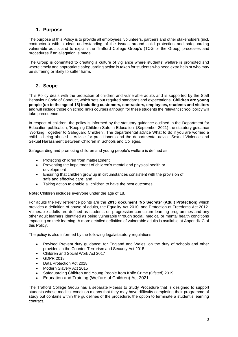# <span id="page-2-0"></span>**1. Purpose**

The purpose of this Policy is to provide all employees, volunteers, partners and other stakeholders (incl. contractors) with a clear understanding of the issues around child protection and safeguarding vulnerable adults and to explain the Trafford College Group's (TCG or the Group) processes and procedures if an allegation is made.

The Group is committed to creating a culture of vigilance where students' welfare is promoted and where timely and appropriate safeguarding action is taken for students who need extra help or who may be suffering or likely to suffer harm.

# <span id="page-2-1"></span>**2. Scope**

This Policy deals with the protection of children and vulnerable adults and is supported by the Staff Behaviour Code of Conduct, which sets out required standards and expectations. **Children are young people (up to the age of 18) including customers, contractors, employees, students and visitors** and will include those on school links courses although for these students the relevant school policy will take precedence.

In respect of children, the policy is informed by the statutory guidance outlined in the Department for Education publication, 'Keeping Children Safe in Education' (September 2021) the statutory guidance 'Working Together to Safeguard Children'. The departmental advice What to do if you are worried a child is being abused – Advice for practitioners and the departmental advice Sexual Violence and Sexual Harassment Between Children in Schools and Colleges.

Safeguarding and promoting children and young people's welfare is defined as:

- Protecting children from maltreatment
- Preventing the impairment of children's mental and physical health or development
- Ensuring that children grow up in circumstances consistent with the provision of safe and effective care; and
- Taking action to enable all children to have the best outcomes.

**Note:** Children includes everyone under the age of 18.

For adults the key reference points are the **2015 document 'No Secrets' (Adult Protection)** which provides a definition of abuse of adults, the Equality Act 2010, and Protection of Freedoms Act 2012. Vulnerable adults are defined as students on progression curriculum learning programmes and any other adult learners identified as being vulnerable through social, medical or mental health conditions impacting on their learning. A more detailed definition of vulnerable adults is available at Appendix C of this Policy.

The policy is also informed by the following legal/statutory regulations:

- Revised Prevent duty guidance: for England and Wales: on the duty of schools and other providers in the Counter-Terrorism and Security Act 2015
- Children and Social Work Act 2017
- GDPR 2018
- Data Protection Act 2018
- Modern Slavery Act 2015
- Safeguarding Children and Young People from Knife Crime (Ofsted) 2019
- Education and Training (Welfare of Children) Act 2021

The Trafford College Group has a separate Fitness to Study Procedure that is designed to support students whose medical condition means that they may have difficulty completing their programme of study but contains within the guidelines of the procedure, the option to terminate a student's learning contract.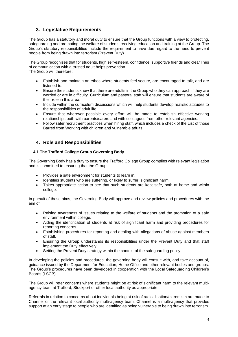# <span id="page-3-0"></span>**3. Legislative Requirements**

The Group has a statutory and moral duty to ensure that the Group functions with a view to protecting, safeguarding and promoting the welfare of students receiving education and training at the Group. The Group's statutory responsibilities include the requirement to have due regard to the need to prevent people from being drawn into terrorism (Prevent Duty).

The Group recognises that for students, high self-esteem, confidence, supportive friends and clear lines of communication with a trusted adult helps prevention. The Group will therefore:

- Establish and maintain an ethos where students feel secure, are encouraged to talk, and are listened to.
- Ensure the students know that there are adults in the Group who they can approach if they are worried or are in difficulty. Curriculum and pastoral staff will ensure that students are aware of their role in this area.
- Include within the curriculum discussions which will help students develop realistic attitudes to the responsibilities of adult life.
- Ensure that wherever possible every effort will be made to establish effective working relationships both with parents/carers and with colleagues from other relevant agencies.
- Follow safer recruitment practices when hiring staff, which includes a check of the List of those Barred from Working with children and vulnerable adults.

# <span id="page-3-1"></span>**4. Role and Responsibilities**

#### **4.1 The Trafford College Group Governing Body**

The Governing Body has a duty to ensure the Trafford College Group complies with relevant legislation and is committed to ensuring that the Group:

- Provides a safe environment for students to learn in.
- Identifies students who are suffering, or likely to suffer, significant harm.
- Takes appropriate action to see that such students are kept safe, both at home and within college.

In pursuit of these aims, the Governing Body will approve and review policies and procedures with the aim of:

- Raising awareness of issues relating to the welfare of students and the promotion of a safe environment within college.
- Aiding the identification of students at risk of significant harm and providing procedures for reporting concerns.
- Establishing procedures for reporting and dealing with allegations of abuse against members of staff.
- Ensuring the Group understands its responsibilities under the Prevent Duty and that staff implement the Duty effectively.
- Setting the Prevent Duty strategy within the context of the safeguarding policy.

In developing the policies and procedures, the governing body will consult with, and take account of, guidance issued by the Department for Education, Home Office and other relevant bodies and groups. The Group's procedures have been developed in cooperation with the Local Safeguarding Children's Boards (LSCB).

The Group will refer concerns where students might be at risk of significant harm to the relevant multiagency team at Trafford, Stockport or other local authority as appropriate.

Referrals in relation to concerns about individuals being at risk of radicalisation/extremism are made to Channel or the relevant local authority multi-agency team. Channel is a multi-agency that provides support at an early stage to people who are identified as being vulnerable to being drawn into terrorism.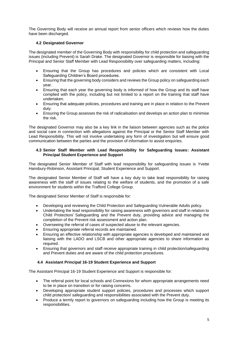The Governing Body will receive an annual report from senior officers which reviews how the duties have been discharged.

#### **4.2 Designated Governor**

The designated member of the Governing Body with responsibility for child protection and safeguarding issues (including Prevent) is Sarah Drake. The designated Governor is responsible for liaising with the Principal and Senior Staff Member with Lead Responsibility over safeguarding matters, including:

- Ensuring that the Group has procedures and policies which are consistent with Local Safeguarding Children's Board procedures.
- Ensuring that the governing body considers and reviews the Group policy on safeguarding each year.
- Ensuring that each year the governing body is informed of how the Group and its staff have complied with the policy, including but not limited to a report on the training that staff have undertaken.
- Ensuring that adequate policies, procedures and training are in place in relation to the Prevent duty.
- Ensuring the Group assesses the risk of radicalisation and develops an action plan to minimise the risk.

The designated Governor may also be a key link in the liaison between agencies such as the police and social care in connection with allegations against the Principal or the Senior Staff Member with Lead Responsibility. This will not involve undertaking any form of investigation but will ensure good communication between the parties and the provision of information to assist enquiries.

#### **4.3 Senior Staff Member with Lead Responsibility for Safeguarding Issues: Assistant Principal Student Experience and Support**

The designated Senior Member of Staff with lead responsibility for safeguarding issues is Yvette Hansbury-Robinson, Assistant Principal, Student Experience and Support.

The designated Senior Member of Staff will have a key duty to take lead responsibility for raising awareness with the staff of issues relating to the welfare of students, and the promotion of a safe environment for students within the Trafford College Group.

The designated Senior Member of Staff is responsible for:

- Developing and reviewing the Child Protection and Safeguarding Vulnerable Adults policy.
- Undertaking the lead responsibility for raising awareness with governors and staff in relation to Child Protection/ Safeguarding and the Prevent duty, providing advice and managing the completion of the Prevent risk assessment and action plan.
- Overseeing the referral of cases of suspected abuse to the relevant agencies.
- Ensuring appropriate referral records are maintained.
- Ensuring an effective relationship with appropriate agencies is developed and maintained and liaising with the LADO and LSCB and other appropriate agencies to share information as required.
- Ensuring that governors and staff receive appropriate training in child protection/safeguarding and Prevent duties and are aware of the child protection procedures.

#### **4.4 Assistant Principal 16-19 Student Experience and Support**

The Assistant Principal 16-19 Student Experience and Support is responsible for:

- The referral point for local schools and Connexions for whom appropriate arrangements need to be in place on transition or for raising concerns.
- Developing appropriate student support policies, procedures and processes which support child protection/ safeguarding and responsibilities associated with the Prevent duty.
- Produce a termly report to governors on safeguarding including how the Group is meeting its responsibilities.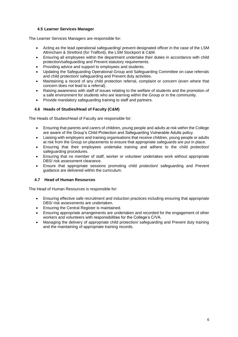#### **4.5 Learner Services Manager**

The Learner Services Managers are responsible for:

- Acting as the lead operational safeguarding/ prevent designated officer in the case of the LSM Altrincham & Stretford (for Trafford), the LSM Stockport & C&M.
- Ensuring all employees within the department undertake their duties in accordance with child protection/safeguarding and Prevent statutory requirements.
- Providing advice and support to employees and students.
- Updating the Safeguarding Operational Group and Safeguarding Committee on case referrals and child protection/ safeguarding and Prevent duty activities.
- Maintaining a record of any child protection referral, complaint or concern (even where that concern does not lead to a referral).
- Raising awareness with staff of issues relating to the welfare of students and the promotion of a safe environment for students who are learning within the Group or in the community.
- Provide mandatory safeguarding training to staff and partners.

#### **4.6 Heads of Studies/Head of Faculty (C&M)**

The Heads of Studies/Head of Faculty are responsible for:

- Ensuring that parents and carers of children, young people and adults at risk within the College are aware of the Group's Child Protection and Safeguarding Vulnerable Adults policy.
- Liaising with employers and training organisations that receive children, young people or adults at risk from the Group on placements to ensure that appropriate safeguards are put in place.
- Ensuring that their employees undertake training and adhere to the child protection/ safeguarding procedures.
- Ensuring that no member of staff, worker or volunteer undertakes work without appropriate DBS/ risk assessment clearance.
- Ensure that appropriate sessions promoting child protection/ safeguarding and Prevent guidance are delivered within the curriculum.

#### **4.7 Head of Human Resources**

The Head of Human Resources is responsible for:

- Ensuring effective safe recruitment and induction practices including ensuring that appropriate DBS/ risk assessments are undertaken.
- Ensuring the Central Register is maintained.
- Ensuring appropriate arrangements are undertaken and recorded for the engagement of other workers and volunteers with responsibilities for the College's C/VA.
- Managing the delivery of appropriate child protection/ safeguarding and Prevent duty training and the maintaining of appropriate training records.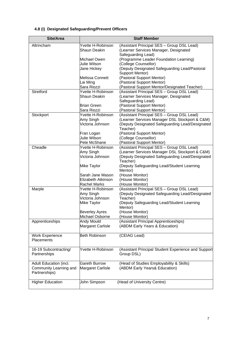| Site/Area                             | <b>Staff Member</b>               |                                                        |  |  |
|---------------------------------------|-----------------------------------|--------------------------------------------------------|--|--|
| Altrincham                            | Yvette H-Robinson                 | (Assistant Principal SES - Group DSL Lead)             |  |  |
|                                       | <b>Shaun Deakin</b>               | (Learner Services Manager, Designated                  |  |  |
|                                       |                                   | Safeguarding Lead)                                     |  |  |
|                                       | Michael Owen                      | (Programme Leader Foundation Learning)                 |  |  |
|                                       | Julie Wilson                      | (College Counsellor)                                   |  |  |
|                                       | Jane Hickey                       | (Deputy Designated Safeguarding Lead/Pastoral          |  |  |
|                                       |                                   | Support Mentor)                                        |  |  |
|                                       | Melissa Connett                   | (Pastoral Support Mentor)                              |  |  |
|                                       | Lai Ming                          | (Pastoral Support Mentor)                              |  |  |
|                                       | Sara Riozzi                       | (Pastoral Support Mentor/Designated Teacher)           |  |  |
| Stretford                             | Yvette H-Robinson                 | (Assistant Principal SES - Group DSL Lead)             |  |  |
|                                       | Shaun Deakin                      | (Learner Services Manager, Designated                  |  |  |
|                                       |                                   | Safeguarding Lead)                                     |  |  |
|                                       | <b>Brian Green</b><br>Sara Riozzi | (Pastoral Support Mentor)<br>(Pastoral Support Mentor) |  |  |
| Stockport                             | Yvette H-Robinson                 | (Assistant Principal SES - Group DSL Lead)             |  |  |
|                                       | Amy Singh                         | (Learner Services Manager DSL Stockport & C&M)         |  |  |
|                                       | Victoria Johnson                  | (Deputy Designated Safeguarding Lead/Designated        |  |  |
|                                       |                                   | Teacher)                                               |  |  |
|                                       | Fran Logan                        | (Pastoral Support Mentor)                              |  |  |
|                                       | Julie Wilson                      | (College Counsellor)                                   |  |  |
|                                       | Pete McShane                      | (Pastoral Support Mentor)                              |  |  |
| Cheadle                               | Yvette H-Robinson                 | (Assistant Principal SES - Group DSL Lead)             |  |  |
|                                       | Amy Singh                         | (Learner Services Manager DSL Stockport & C&M)         |  |  |
|                                       | Victoria Johnson                  | (Deputy Designated Safeguarding Lead/Designated        |  |  |
|                                       |                                   | Teacher)                                               |  |  |
|                                       | Mike Taylor                       | (Deputy Safeguarding Lead/Student Learning             |  |  |
|                                       |                                   | Mentor)                                                |  |  |
|                                       | Sarah Jane Mason                  | (House Monitor)                                        |  |  |
|                                       | Elizabeth Atkinson                | (House Monitor)                                        |  |  |
|                                       | <b>Rachel Marks</b>               | (House Monitor)                                        |  |  |
| Marple                                | Yvette H-Robinson                 | (Assistant Principal SES - Group DSL Lead)             |  |  |
|                                       | Amy Singh                         | (Deputy Designated Safeguarding Lead/Designated        |  |  |
|                                       | Victoria Johnson                  | Teacher)                                               |  |  |
|                                       | Mike Taylor                       | (Deputy Safeguarding Lead/Student Learning             |  |  |
|                                       |                                   | Mentor)                                                |  |  |
|                                       | <b>Beverley Ayres</b>             | (House Monitor)                                        |  |  |
|                                       | Michael Osborne                   | (House Monitor)                                        |  |  |
| Apprenticeships                       | <b>Andy Mould</b>                 | (Assistant Principal Apprenticeships)                  |  |  |
|                                       | Margaret Carlisle                 | (ABDM Early Years & Education)                         |  |  |
|                                       |                                   |                                                        |  |  |
| <b>Work Experience</b>                | <b>Beth Robinson</b>              | (CEIAG Lead)                                           |  |  |
| Placements                            |                                   |                                                        |  |  |
|                                       | Yvette H-Robinson                 | (Assistant Principal Student Experience and Support    |  |  |
| 16-19 Subcontracting/<br>Partnerships |                                   | Group DSL)                                             |  |  |
|                                       |                                   |                                                        |  |  |
| Adult Education (incl.                | <b>Gareth Burrow</b>              | (Head of Studies Employability & Skills)               |  |  |
| Community Learning and                | Margaret Carlisle                 | (ABDM Early Years& Education)                          |  |  |
| Partnerships)                         |                                   |                                                        |  |  |
|                                       |                                   |                                                        |  |  |
| <b>Higher Education</b>               | John Simpson                      | (Head of University Centre)                            |  |  |
|                                       |                                   |                                                        |  |  |

# **4.8 (i) Designated Safeguarding/Prevent Officers**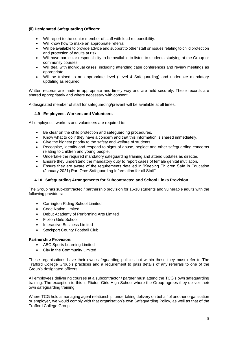#### **(ii) Designated Safeguarding Officers:**

- Will report to the senior member of staff with lead responsibility.
- Will know how to make an appropriate referral.
- Will be available to provide advice and support to other staff on issues relating to child protection and protection of adults at risk.
- Will have particular responsibility to be available to listen to students studying at the Group or community courses.
- Will deal with individual cases, including attending case conferences and review meetings as appropriate.
- Will be trained to an appropriate level (Level 4 Safeguarding) and undertake mandatory updating as required

Written records are made in appropriate and timely way and are held securely. These records are shared appropriately and where necessary with consent.

A designated member of staff for safeguarding/prevent will be available at all times.

#### **4.9 Employees, Workers and Volunteers**

All employees, workers and volunteers are required to:

- Be clear on the child protection and safeguarding procedures.
- Know what to do if they have a concern and that this information is shared immediately.
- Give the highest priority to the safety and welfare of students.
- Recognise, identify and respond to signs of abuse, neglect and other safeguarding concerns relating to children and young people.
- Undertake the required mandatory safeguarding training and attend updates as directed.
- Ensure they understand the mandatory duty to report cases of female genital mutilation.
- Ensure they are aware of the requirements detailed in "Keeping Children Safe in Education (January 2021) Part One: Safeguarding Information for all Staff".

#### **4.10 Safeguarding Arrangements for Subcontracted and School Links Provision**

The Group has sub-contracted / partnership provision for 16-18 students and vulnerable adults with the following providers:

- Carrington Riding School Limited
- Code Nation Limited
- Debut Academy of Performing Arts Limited
- Flixton Girls School
- Interactive Business Limited
- Stockport County Football Club

#### **Partnership Provision:**

- ABC Sports Learning Limited
- City in the Community Limited

These organisations have their own safeguarding policies but within these they must refer to The Trafford College Group's practices and a requirement to pass details of any referrals to one of the Group's designated officers.

All employees delivering courses at a subcontractor / partner must attend the TCG's own safeguarding training. The exception to this is Flixton Girls High School where the Group agrees they deliver their own safeguarding training.

Where TCG hold a managing agent relationship, undertaking delivery on behalf of another organisation or employer, we would comply with that organisation's own Safeguarding Policy, as well as that of the Trafford College Group.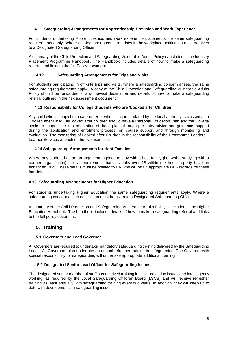#### **4.11 Safeguarding Arrangements for Apprenticeship Provision and Work Experience**

For students undertaking Apprenticeships and work experience placements the same safeguarding requirements apply. Where a safeguarding concern arises in the workplace notification must be given to a Designated Safeguarding Officer.

A summary of the Child Protection and Safeguarding Vulnerable Adults Policy is included in the Industry Placement Programme Handbook. The Handbook includes details of how to make a safeguarding referral and links to the full Policy document.

#### **4.12 Safeguarding Arrangements for Trips and Visits**

For students participating in off -site trips and visits, where a safeguarding concern arises, the same safeguarding requirements apply. A copy of the Child Protection and Safeguarding Vulnerable Adults Policy should be forwarded to any trip/visit destination and details of how to make a safeguarding referral outlined in the risk assessment document.

#### **4.13 Responsibility for College Students who are 'Looked after Children'**

Any child who is subject to a care order or who is accommodated by the local authority is classed as a 'Looked after Child.' All looked after children should have a Personal Education Plan and the College seeks to support the implementation of these plans through pre-entry advice and guidance, support during the application and enrolment process, on course support and through monitoring and evaluation. The monitoring of Looked after Children is the responsibility of the Programme Leaders – Learner Services at each of the five main sites.

#### **4.14 Safeguarding Arrangements for Host Families**

Where any student has an arrangement in place to stay with a host family (i.e. whilst studying with a partner organisation) it is a requirement that all adults over 18 within the host property have an enhanced DBS. These details must be notified to HR who will retain appropriate DBS records for these families.

#### **4.15. Safeguarding Arrangements for Higher Education**

For students undertaking Higher Education the same safeguarding requirements apply. Where a safeguarding concern arises notification must be given to a Designated Safeguarding Officer.

A summary of the Child Protection and Safeguarding Vulnerable Adults Policy is included in the Higher Education Handbook. The handbook includes details of how to make a safeguarding referral and links to the full policy document.

# <span id="page-8-0"></span>**5. Training**

#### **5.1 Governors and Lead Governor**

All Governors are required to undertake mandatory safeguarding training delivered by the Safeguarding Leads. All Governors also undertake an annual refresher training in safeguarding. The Governor with special responsibility for safeguarding will undertake appropriate additional training.

#### **5.2 Designated Senior Lead Officer for Safeguarding Issues**

The designated senior member of staff has received training in child protection issues and inter-agency working, as required by the Local Safeguarding Children Board (LSCB) and will receive refresher training as least annually with safeguarding training every two years. In addition, they will keep up to date with developments in safeguarding issues.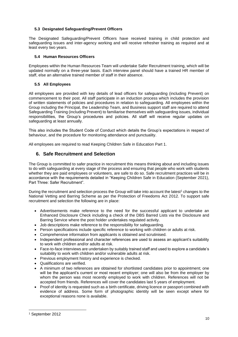#### **5.3 Designated Safeguarding/Prevent Officers**

The Designated Safeguarding/Prevent Officers have received training in child protection and safeguarding issues and inter-agency working and will receive refresher training as required and at least every two years.

## **5.4 Human Resources Officers**

Employees within the Human Resources Team will undertake Safer Recruitment training, which will be updated normally on a three-year basis. Each interview panel should have a trained HR member of staff, else an alternative trained member of staff in their absence.

#### **5.5 All Employees**

All employees are provided with key details of lead officers for safeguarding (including Prevent) on commencement to their post. All staff participate in an induction process which includes the provision of written statements of policies and procedures in relation to safeguarding. All employees within the Group including the Principal, the Leadership Team, and Business support staff are required to attend Safeguarding Training (including Prevent) to familiarise themselves with safeguarding issues, individual responsibilities, the Group's procedures and policies. All staff will receive regular updates on safeguarding at least annually.

This also includes the Student Code of Conduct which details the Group's expectations in respect of behaviour, and the procedure for monitoring attendance and punctuality.

All employees are required to read Keeping Children Safe in Education Part 1.

# <span id="page-9-0"></span>**6. Safe Recruitment and Selection**

The Group is committed to safer practice in recruitment this means thinking about and including issues to do with safeguarding at every stage of the process and ensuring that people who work with students whether they are paid employees or volunteers, are safe to do so. Safe recruitment practices will be in accordance with the requirements detailed in "Keeping Children Safe in Education (September 2021), Part Three: Safer Recruitment".

During the recruitment and selection process the Group will take into account the latest<sup>1</sup> changes to the National Vetting and Barring Scheme as per the Protection of Freedoms Act 2012. To support safe recruitment and selection the following are in place:

- Advertisements make reference to the need for the successful applicant to undertake an Enhanced Disclosure Check including a check of the DBS Barred Lists via the Disclosure and Barring Service where the post holder undertakes regulated activity.
- Job descriptions make reference to the responsibility for safeguarding.
- Person specifications include specific reference to working with children or adults at risk.
- Comprehensive information from applicants is obtained and scrutinised.
- Independent professional and character references are used to assess an applicant's suitability to work with children and/or adults at risk.
- Face-to-face interviews are undertaken by suitably trained staff and used to explore a candidate's suitability to work with children and/or vulnerable adults at risk.
- Previous employment history and experience is checked.
- Qualifications are verified.
- A minimum of two references are obtained for shortlisted candidates prior to appointment; one will be the applicant's current or most recent employer; one will also be from the employer by whom the person was most recently employed to work with children. References will not be accepted from friends. References will cover the candidates last 5 years of employment.
- Proof of identity is requested such as a birth certificate, driving licence or passport combined with evidence of address. Some form of photographic identity will be seen except where for exceptional reasons none is available.

<sup>1</sup> September 2012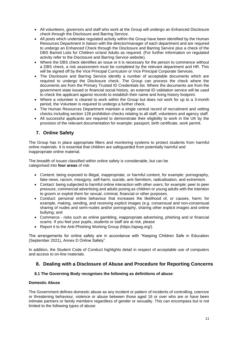- All volunteers, governors and staff who work at the Group will undergo an Enhanced Disclosure check through the Disclosure and Barring Service.
- All posts which undertake regulated activity within the Group have been identified by the Human Resources Department in liaison with the director/manager of each department and are required to undergo an Enhanced Check through the Disclosure and Barring Service plus a check of the DBS Barred Lists for Children or/and Adults as required. (For further information on regulated activity refer to the Disclosure and Barring Service website).
- Where the DBS check identifies an issue or it is necessary for the person to commence without a DBS check, a risk assessment must be completed by the relevant department and HR. This will be signed off by the Vice Principal Curriculum or Vice Principal Corporate Services.
- The Disclosure and Barring Service identify a number of acceptable documents which are required to undergo the Disclosure check. The Group can process the check where the documents are from the Primary Trusted ID Credentials list. Where the documents are from the government state issued or financial social history, an external ID validation service will be used to check the applicant against records to establish their name and living history footprint.
- Where a volunteer is cleared to work within the Group but does not work for up to a 3-month period, the Volunteer is required to undergo a further check.
- The Human Resources Department maintain a single central record of recruitment and vetting checks including section 128 prohibition checks relating to all staff, volunteers and agency staff.
- All successful applicants are required to demonstrate their eligibility to work in the UK by the provision of the relevant documentation for example: passport, birth certificate, work permit.

# <span id="page-10-0"></span>**7. Online Safety**

The Group has in place appropriate filters and monitoring systems to protect students from harmful online materials. It is essential that children are safeguarded from potentially harmful and inappropriate online material.

The breadth of issues classified within online safety is considerable, but can be categorised into **four areas** of risk:

- Content: being exposed to illegal, inappropriate, or harmful content, for example: pornography, fake news, racism, misogyny, self-harm, suicide, anti-Semitism, radicalisation, and extremism.
- Contact: being subjected to harmful online interaction with other users; for example: peer to peer pressure, commercial advertising and adults posing as children or young adults with the intention to groom or exploit them for sexual, criminal, financial or other purposes.
- Conduct: personal online behaviour that increases the likelihood of, or causes, harm; for example, making, sending, and receiving explicit images (e.g. consensual and non-consensual sharing of nudes and semi-nudes and/or pornography, sharing other explicit images and online bullying; and
- Commerce risks such as online gambling, inappropriate advertising, phishing and or financial scams. If you feel your pupils, students or staff are at risk, please
- Report it to the Anti-Phishing Working Group (https://apwg.org/).

The arrangements for online safety are in accordance with "Keeping Children Safe in Education (September 2021), Annex D Online Safety".

In addition, the Student Code of Conduct highlights detail in respect of acceptable use of computers and access to on-line materials.

# <span id="page-10-1"></span>**8. Dealing with a Disclosure of Abuse and Procedure for Reporting Concerns**

#### **8.1 The Governing Body recognises the following as definitions of abuse**:

#### **Domestic Abuse**

The Government defines domestic abuse as any incident or pattern of incidents of controlling, coercive or threatening behaviour, violence or abuse between those aged 16 or over who are or have been intimate partners or family members regardless of gender or sexuality. This can encompass but is not limited to the following types of abuse: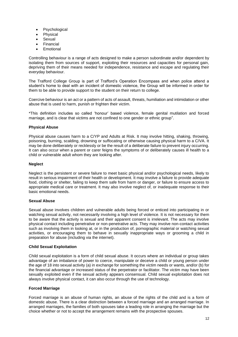- Psychological
- Physical
- Sexual
- **Financial**
- **Emotional**

Controlling behaviour is a range of acts designed to make a person subordinate and/or dependent by isolating them from sources of support, exploiting their resources and capacities for personal gain, depriving them of their means needed for independence, resistance and escape and regulating their everyday behaviour.

The Trafford College Group is part of Trafford's Operation Encompass and when police attend a student's home to deal with an incident of domestic violence, the Group will be informed in order for them to be able to provide support to the student on their return to college.

Coercive behaviour is an act or a pattern of acts of assault, threats, humiliation and intimidation or other abuse that is used to harm, punish or frighten their victim.

\*This definition includes so called 'honour' based violence, female genital mutilation and forced marriage, and is clear that victims are not confined to one gender or ethnic group".

#### **Physical Abuse**

Physical abuse causes harm to a C/YP and Adults at Risk. It may involve hitting, shaking, throwing, poisoning, burning, scalding, drowning or suffocating or otherwise causing physical harm to a C/VA. It may be done deliberately or recklessly or be the result of a deliberate failure to prevent injury occurring. It can also occur when a parent or carer feigns the symptoms of or deliberately causes ill health to a child or vulnerable adult whom they are looking after.

#### **Neglect**

Neglect is the persistent or severe failure to meet basic physical and/or psychological needs, likely to result in serious impairment of their health or development. It may involve a failure to provide adequate food, clothing or shelter, failing to keep them safe from harm or danger, or failure to ensure access to appropriate medical care or treatment. It may also involve neglect of, or inadequate response to their basic emotional needs.

#### **Sexual Abuse**

Sexual abuse involves children and vulnerable adults being forced or enticed into participating in or watching sexual activity, not necessarily involving a high level of violence. It is not necessary for them to be aware that the activity is sexual and their apparent consent is irrelevant. The acts may involve physical contact including penetrative or non-penetrative acts. They may involve non-contact activities such as involving them in looking at, or in the production of, pornographic material or watching sexual activities, or encouraging them to behave in sexually inappropriate ways or grooming a child in preparation for abuse (including via the internet).

#### **Child Sexual Exploitation**

Child sexual exploitation is a form of child sexual abuse. It occurs where an individual or group takes advantage of an imbalance of power to coerce, manipulate or deceive a child or young person under the age of 18 into sexual activity (a) in exchange for something the victim needs or wants, and/or (b) for the financial advantage or increased status of the perpetrator or facilitator. The victim may have been sexually exploited even if the sexual activity appears consensual. Child sexual exploitation does not always involve physical contact, it can also occur through the use of technology.

#### **Forced Marriage**

Forced marriage is an abuse of human rights, an abuse of the rights of the child and is a form of domestic abuse. There is a clear distinction between a forced marriage and an arranged marriage. In arranged marriages, the families of both spouses take a leading role in arranging the marriage but the choice whether or not to accept the arrangement remains with the prospective spouses.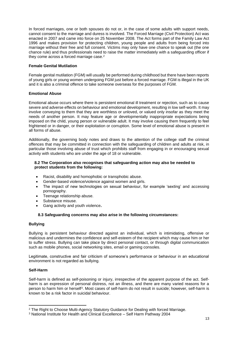In forced marriages, one or both spouses do not or, in the case of some adults with support needs, cannot consent to the marriage and duress is involved. The Forced Marriage (Civil Protection) Act was enacted in 2007 and came into force on 25 November 2008. The Act forms part of the Family Law Act 1996 and makes provision for protecting children, young people and adults from being forced into marriage without their free and full consent. Victims may only have one chance to speak out (the one chance rule) and thus professionals need to raise the matter immediately with a safeguarding officer if they come across a forced marriage case.<sup>2</sup>

#### **Female Genital Mutilation**

Female genital mutilation (FGM) will usually be performed during childhood but there have been reports of young girls or young women undergoing FGM just before a forced marriage. FGM is illegal in the UK and it is also a criminal offence to take someone overseas for the purposes of FGM.

#### **Emotional Abuse**

Emotional abuse occurs where there is persistent emotional ill treatment or rejection, such as to cause severe and adverse effects on behaviour and emotional development, resulting in low self-worth. It may involve conveying to them that they are worthless or unloved, or valued only insofar as they meet the needs of another person. It may feature age or developmentally inappropriate expectations being imposed on the child, young person or vulnerable adult. It may involve causing them frequently to feel frightened or in danger, or their exploitation or corruption. Some level of emotional abuse is present in all forms of abuse.

Additionally, the governing body notes and draws to the attention of the college staff the criminal offences that may be committed in connection with the safeguarding of children and adults at risk, in particular those involving abuse of trust which prohibits staff from engaging in or encouraging sexual activity with students who are under the age of 18 or vulnerable.

#### **8.2 The Corporation also recognises that safeguarding action may also be needed to protect students from the following:**

- Racist, disability and homophobic or transphobic abuse.
- Gender-based violence/violence against women and girls.
- The impact of new technologies on sexual behaviour, for example 'sexting' and accessing pornography.
- Teenage relationship abuse.
- Substance misuse.
- Gang activity and youth violence**.**

#### **8.3 Safeguarding concerns may also arise in the following circumstances:**

#### **Bullying**

Bullying is persistent behaviour directed against an individual, which is intimidating, offensive or malicious and undermines the confidence and self-esteem of the recipient which may cause him or her to suffer stress. Bullying can take place by direct personal contact, or through digital communication such as mobile phones, social networking sites, email or gaming consoles.

Legitimate, constructive and fair criticism of someone's performance or behaviour in an educational environment is not regarded as bullying.

#### **Self-Harm**

Self-harm is defined as self-poisoning or injury, irrespective of the apparent purpose of the act. Selfharm is an expression of personal distress, not an illness, and there are many varied reasons for a person to harm him or herself<sup>3</sup>. Most cases of self-harm do not result in suicide; however, self-harm is known to be a risk factor in suicidal behaviour.

<sup>2</sup> The Right to Choose Multi-Agency Statutory Guidance for Dealing with forced Marriage.

<sup>3</sup> National Institute for Health and Clinical Excellence – Self Harm Pathway 2004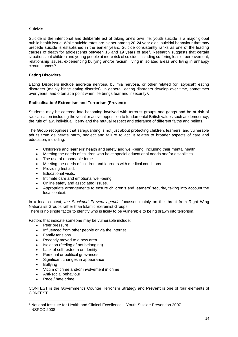#### **Suicide**

Suicide is the intentional and deliberate act of taking one's own life; youth suicide is a major global public health issue. While suicide rates are higher among 20-24 year olds, suicidal behaviour that may precede suicide is established in the earlier years. Suicide consistently ranks as one of the leading causes of death for adolescents between 15 and 19 years of age<sup>4</sup>. Research suggests that certain situations put children and young people at more risk of suicide, including suffering loss or bereavement, relationship issues, experiencing bullying and/or racism, living in isolated areas and living in unhappy circumstances<sup>5</sup>.

#### **Eating Disorders**

Eating Disorders include anorexia nervosa, bulimia nervosa, or other related (or 'atypical') eating disorders (mainly binge eating disorder). In general, eating disorders develop over time, sometimes over years, and often at a point when life brings fear and insecurity $\rm ^6$ .

#### **Radicalisation/ Extremism and Terrorism (Prevent):**

Students may be coerced into becoming involved with terrorist groups and gangs and be at risk of radicalisation including the vocal or active opposition to fundamental British values such as democracy, the rule of law, individual liberty and the mutual respect and tolerance of different faiths and beliefs.

The Group recognises that safeguarding is not just about protecting children, learners' and vulnerable adults from deliberate harm, neglect and failure to act. It relates to broader aspects of care and education, including:

- Children's and learners' health and safety and well-being, including their mental health.
- Meeting the needs of children who have special educational needs and/or disabilities.
- The use of reasonable force.
- Meeting the needs of children and learners with medical conditions.
- Providing first aid.
- Educational visits.
- Intimate care and emotional well-being.
- Online safety and associated issues.
- Appropriate arrangements to ensure children's and learners' security, taking into account the local context.

In a local context, *the Stockport Prevent agenda* focusses mainly on the threat from Right Wing Nationalist Groups rather than Islamic Extremist Groups. There is no single factor to identify who is likely to be vulnerable to being drawn into terrorism.

Factors that indicate someone may be vulnerable include:

- Peer pressure
- Influenced from other people or via the internet
- Family tensions
- Recently moved to a new area
- Isolation (feeling of not belonging)
- Lack of self- esteem or identity
- Personal or political grievances
- Significant changes in appearance
- **Bullving**
- Victim of crime and/or involvement in crime
- Anti-social behaviour
- Race / hate crime

CONTEST is the Government's Counter Terrorism Strategy and **Prevent** is one of four elements of CONTEST.

<sup>4</sup> National Institute for Health and Clinical Excellence – Youth Suicide Prevention 2007

<sup>5</sup> NSPCC 2008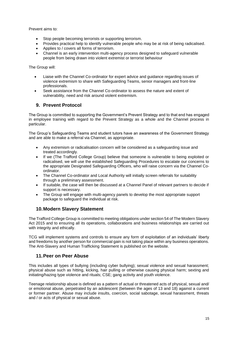Prevent aims to:

- Stop people becoming terrorists or supporting terrorism.
- Provides practical help to identify vulnerable people who may be at risk of being radicalised.
- Applies to / covers all forms of terrorism.
- Channel is an early intervention multi-agency process designed to safeguard vulnerable people from being drawn into violent extremist or terrorist behaviour

The Group will:

- Liaise with the Channel Co-ordinator for expert advice and guidance regarding issues of violence extremism to share with Safeguarding Teams, senior managers and front-line professionals.
- Seek assistance from the Channel Co-ordinator to assess the nature and extent of vulnerability, need and risk around violent extremism.

# <span id="page-14-0"></span>**9. Prevent Protocol**

The Group is committed to supporting the Government's Prevent Strategy and to that end has engaged in employee training with regard to the Prevent Strategy as a whole and the Channel process in particular.

The Group's Safeguarding Teams and student tutors have an awareness of the Government Strategy and are able to make a referral via Channel, as appropriate.

- Any extremism or radicalisation concern will be considered as a safeguarding issue and treated accordingly.
- If we (The Trafford College Group) believe that someone is vulnerable to being exploited or radicalised, we will use the established Safeguarding Procedures to escalate our concerns to the appropriate Designated Safeguarding Officers, who will raise concern via the Channel Coordinator.
- The Channel Co-ordinator and Local Authority will initially screen referrals for suitability through a preliminary assessment.
- If suitable, the case will then be discussed at a Channel Panel of relevant partners to decide if support is necessary.
- The Group will engage with multi-agency panels to develop the most appropriate support package to safeguard the individual at risk.

# <span id="page-14-1"></span>**10.Modern Slavery Statement**

The Trafford College Group is committed to meeting obligations under section 54 of The Modern Slavery Act 2015 and to ensuring all its operations, collaborations and business relationships are carried out with integrity and ethically.

TCG will implement systems and controls to ensure any form of exploitation of an individuals' liberty and freedoms by another person for commercial gain is not taking place within any business operations. The Anti-Slavery and Human Trafficking Statement is published on the website.

# <span id="page-14-2"></span>**11.Peer on Peer Abuse**

This includes all types of bullying (including cyber bullying); sexual violence and sexual harassment; physical abuse such as hitting, kicking, hair pulling or otherwise causing physical harm; sexting and initiating/hazing type violence and rituals; CSE; gang activity and youth violence.

Teenage relationship abuse is defined as a pattern of actual or threatened acts of physical, sexual and/ or emotional abuse, perpetrated by an adolescent (between the ages of 13 and 18) against a current or former partner. Abuse may include insults, coercion, social sabotage, sexual harassment, threats and / or acts of physical or sexual abuse.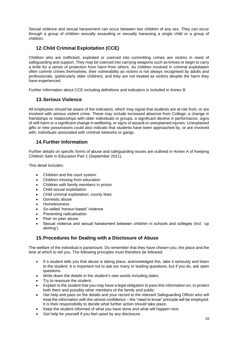Sexual violence and sexual harassment can occur between two children of any sex. They can occur through a group of children sexually assaulting or sexually harassing a single child or a group of children.

# <span id="page-15-0"></span>**12.Child Criminal Exploitation (CCE)**

Children who are trafficked, exploited or coerced into committing crimes are victims in need of safeguarding and support. They may be coerced into carrying weapons such as knives or begin to carry a knife for a sense of protection from harm from others. As children involved in criminal exploitation often commit crimes themselves, their vulnerability as victims is not always recognised by adults and professionals, (particularly older children), and they are not treated as victims despite the harm they have experienced.

Further information about CCE including definitions and indicators is included in Annex B

# <span id="page-15-1"></span>**13.Serious Violence**

All employees should be aware of the indicators, which may signal that students are at risk from, or are involved with serious violent crime. These may include increased absence from College, a change in friendships or relationships with older individuals or groups, a significant decline in performance, signs of self-harm or a significant change in wellbeing, or signs of assault or unexplained injuries. Unexplained gifts or new possessions could also indicate that students have been approached by, or are involved with, individuals associated with criminal networks or gangs.

# <span id="page-15-2"></span>**14.Further Information**

Further details on specific forms of abuse and safeguarding issues are outlined in Annex A of Keeping Children Safe in Education Part 1 (September 2021).

This detail includes:

- Children and the court system
- Children missing from education
- Children with family members in prison
- Child sexual exploitation
- Child criminal exploitation: county lines
- Domestic abuse
- Homelessness
- So-called 'honour-based' violence
- Preventing radicalisation
- Peer on peer abuse
- Sexual violence and sexual harassment between children in schools and colleges (incl. 'up skirting').

# <span id="page-15-3"></span>**15.Procedures for Dealing with a Disclosure of Abuse**

The welfare of the individual is paramount. Do remember that they have chosen you, the place and the time at which to tell you. The following principles must therefore be followed:

- If a student tells you that abuse is taking place, acknowledged this, take it seriously and listen to the student. It is important not to ask too many or leading questions, but if you do, ask open questions.
- Write down the details in the student's own words including dates.
- Try to reassure the student.
- Explain to the student that you may have a legal obligation to pass this information on, to protect both them and possibly other members of the family and public.
- Get help and pass on the details and your record to the relevant Safeguarding Officer who will treat the information with the utmost confidence – the "need to know" principle will be employed. It is their responsibility to decide what further action should take place.
- Keep the student informed of what you have done and what will happen next.
- Get help for yourself if you feel upset by any disclosure.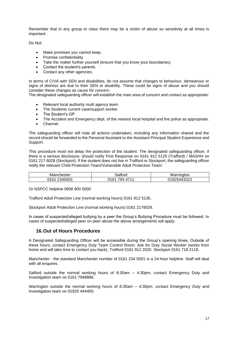Remember that in any group or class there may be a victim of abuse so sensitivity at all times is important.

Do Not:

- Make promises you cannot keep.
- Promise confidentiality.
- Take the matter further yourself (ensure that you know your boundaries).
- Contact the student's parents.
- Contact any other agencies.

In terms of C/VA with SEN and disabilities, do not assume that changes to behaviour, demeanour or signs of distress are due to their SEN or disability. These could be signs of abuse and you should consider these changes as cause for concern.

The designated safeguarding officer will establish the main area of concern and contact as appropriate:

- Relevant local authority multi agency team
- The Students current case/support worker.
- The Student's GP.
- The Accident and Emergency dept. of the nearest local hospital and the police as appropriate.
- Channel.

The safeguarding officer will note all actions undertaken, including any information shared and the record should be forwarded to the Personal Assistant to the Assistant Principal Student Experience and Support.

This procedure must not delay the protection of the student. The designated safeguarding officer, if there is a serious disclosure, should notify First Response on 0161 912 5125 (Trafford) / MASHH on 0161 217 6028 (Stockport). If the student does not live in Trafford or Stockport, the safeguarding officer notify the relevant Child Protection Team/Vulnerable Adult Protection Team:

| Manchester                              | . <i>. .</i><br>aliore,                           | w<br><b>CONTRACTOR</b><br>aton<br>,,,,<br>- |
|-----------------------------------------|---------------------------------------------------|---------------------------------------------|
| 10004<br>ገ1 ፎ1<br>FOOO'<br>94<br>v<br>U | $\rightarrow$<br>116'<br>, ,<br>'YA ⊵<br>U<br>. . | ררכני<br>14<br>14 L<br>◡▵▃                  |

Or NSPCC helpline 0808 800 5000

Trafford Adult Protection Line (normal working hours) 0161 912 5135.

Stockport Adult Protection Line (normal working hours) 0161 2176029.

In cases of suspected/alleged bullying by a peer the Group's Bullying Procedure must be followed. In cases of suspected/alleged peer on peer abuse the above arrangements will apply.

## <span id="page-16-0"></span>**16.Out of Hours Procedures**

A Designated Safeguarding Officer will be accessible during the Group's opening times. Outside of these hours, contact Emergency Duty Team Control Room. Ask for Duty Social Worker (works from home and will take time to contact you back). Trafford 0161 912 2020. Stockport 0161 718 2118.

Manchester - the standard Manchester number of 0161 234 5001 is a 24-hour helpline. Staff will deal with all enquires.

Salford outside the normal working hours of 8:30am – 4:30pm, contact Emergency Duty and Investigation team on 0161 7948888.

Warrington outside the normal working hours of 8:30am – 4:30pm, contact Emergency Duty and Investigation team on 01925 444400.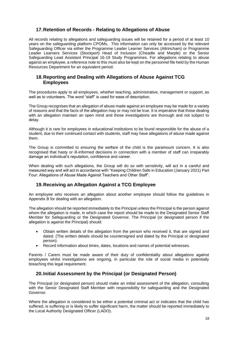# <span id="page-17-0"></span>**17.Retention of Records - Relating to Allegations of Abuse**

All records relating to allegations and safeguarding issues will be retained for a period of at least 10 years on the safeguarding platform CPOMs. This information can only be accessed by the relevant Safeguarding Officer via either the Programme Leader Learner Services (Altrincham) or Programme Leader Learners Services (Stockport) Head of Inclusion (Cheadle and Marple) or the Senior Safeguarding Lead Assistant Principal 16-19 Study Programmes. For allegations relating to abuse against an employee, a reference note to this must also be kept on the personnel file held by the Human Resources Department for an equivalent period.

## <span id="page-17-1"></span>**18.Reporting and Dealing with Allegations of Abuse Against TCG Employees**

The procedures apply to all employees, whether teaching, administrative, management or support, as well as to volunteers. The word "staff" is used for ease of description.

The Group recognises that an allegation of abuse made against an employee may be made for a variety of reasons and that the facts of the allegation may or may not be true. It is imperative that those dealing with an allegation maintain an open mind and those investigations are thorough and not subject to delay.

Although it is rare for employees in educational institutions to be found responsible for the abuse of a student, due to their continued contact with students, staff may have allegations of abuse made against them.

The Group is committed to ensuring the welfare of the child is the paramount concern. It is also recognised that hasty or ill-informed decisions in connection with a member of staff can irreparably damage an individual's reputation, confidence and career.

When dealing with such allegations, the Group will do so with sensitivity, will act in a careful and measured way and will act in accordance with "Keeping Children Safe in Education (January 2021) Part Four: Allegations of Abuse Made Against Teachers and Other Staff".

# <span id="page-17-2"></span>**19.Receiving an Allegation Against a TCG Employee**

An employee who receives an allegation about another employee should follow the guidelines in Appendix B for dealing with an allegation.

The allegation should be reported immediately to the Principal unless the Principal is the person against whom the allegation is made, in which case the report should be made to the Designated Senior Staff Member for Safeguarding or the Designated Governor. The Principal (or designated person if the allegation is against the Principal) should:

- Obtain written details of the allegation from the person who received it, that are signed and dated. (The written details should be countersigned and dated by the Principal or designated person).
- Record information about times, dates, locations and names of potential witnesses.

Parents / Carers must be made aware of their duty of confidentiality about allegations against employees whilst investigations are ongoing, in particular the role of social media in potentially breaching this legal requirement.

# <span id="page-17-3"></span>**20.Initial Assessment by the Principal (or Designated Person)**

The Principal (or designated person) should make an initial assessment of the allegation, consulting with the Senior Designated Staff Member with responsibility for safeguarding and the Designated Governor.

Where the allegation is considered to be either a potential criminal act or indicates that the child has suffered, is suffering or is likely to suffer significant harm, the matter should be reported immediately to the Local Authority Designated Officer (LADO).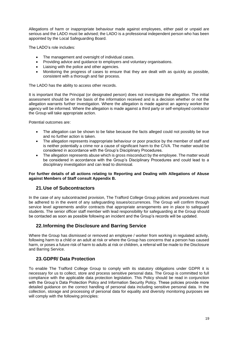Allegations of harm or inappropriate behaviour made against employees, either paid or unpaid are serious and the LADO must be advised; the LADO is a professional independent person who has been appointed by the Local Safeguarding Board.

The LADO's role includes:

- The management and oversight of individual cases.
- Providing advice and guidance to employers and voluntary organisations.
- Liaising with the police and other agencies.
- Monitoring the progress of cases to ensure that they are dealt with as quickly as possible, consistent with a thorough and fair process.

The LADO has the ability to access other records.

It is important that the Principal (or designated person) does not investigate the allegation. The initial assessment should be on the basis of the information received and is a decision whether or not the allegation warrants further investigation. Where the allegation is made against an agency worker the agency will be informed. Where the allegation is made against a third party or self-employed contractor the Group will take appropriate action.

Potential outcomes are:

- The allegation can be shown to be false because the facts alleged could not possibly be true and no further action is taken.
- The allegation represents inappropriate behaviour or poor practice by the member of staff and is neither potentially a crime nor a cause of significant harm to the C/VA. The matter would be considered in accordance with the Group's Disciplinary Procedures.
- The allegation represents abuse which is gross misconduct by the employee. The matter would be considered in accordance with the Group's Disciplinary Procedures and could lead to a disciplinary investigation and can lead to dismissal.

#### **For further details of all actions relating to Reporting and Dealing with Allegations of Abuse against Members of Staff consult Appendix B.**

## <span id="page-18-0"></span>**21.Use of Subcontractors**

In the case of any subcontracted provision, The Trafford College Group policies and procedures must be adhered to in the event of any safeguarding issues/occurrences. The Group will confirm through service level agreements and/or contracts that appropriate arrangements are in place to safeguard students. The senior officer staff member with lead responsibility for safeguarding at the Group should be contacted as soon as possible following an incident and the Group's records will be updated.

# <span id="page-18-1"></span>**22.Informing the Disclosure and Barring Service**

Where the Group has dismissed or removed an employee / worker from working in regulated activity, following harm to a child or an adult at risk or where the Group has concerns that a person has caused harm, or poses a future risk of harm to adults at risk or children, a referral will be made to the Disclosure and Barring Service.

# <span id="page-18-2"></span>**23.GDPR/ Data Protection**

To enable The Trafford College Group to comply with its statutory obligations under GDPR it is necessary for us to collect, store and process sensitive personal data. The Group is committed to full compliance with the applicable data protection legislation. This Policy should be read in conjunction with the Group's Data Protection Policy and Information Security Policy. These policies provide more detailed guidance on the correct handling of personal data including sensitive personal data. In the collection, storage and processing of personal data for equality and diversity monitoring purposes we will comply with the following principles: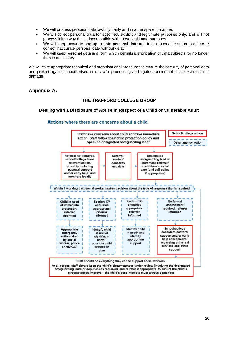- We will process personal data lawfully, fairly and in a transparent manner.
- We will collect personal data for specified, explicit and legitimate purposes only, and will not process it in a way that is incompatible with those legitimate purposes.
- We will keep accurate and up to date personal data and take reasonable steps to delete or correct inaccurate personal data without delay
- We will keep personal data in a form which permits identification of data subjects for no longer than is necessary.

We will take appropriate technical and organisational measures to ensure the security of personal data and protect against unauthorised or unlawful processing and against accidental loss, destruction or damage.

# <span id="page-19-0"></span>**Appendix A:**

## **THE TRAFFORD COLLEGE GROUP**

#### <span id="page-19-1"></span>**Dealing with a Disclosure of Abuse in Respect of a Child or Vulnerable Adult**

#### School/college action Staff have concerns about child and take immediate action. Staff follow their child protection policy and speak to designated safeguarding lead<sup>1</sup> Other agency action Referral not required, Referral<sup>3</sup> **Designated** safeguarding lead or school/college takes made if relevant action, staff make referral<sup>3</sup> concerns possibly including escalate to children's social pastoral support care (and call police and/or early help<sup>2</sup> and if appropriate) monitors locally Within 1 working day, social worker makes decision about the type of response that is required Section 174 Child in need Section 474 No formal enquiries of immediate enquiries assessment appropriate: protection: appropriate: required: referrer referrer referrer referrer informed informed informed informed School/college Appropriate **Identify child Identify child** in need<sup>4</sup> and considers pastoral emergency at risk of significant support and/or early identify action taken help assessment<sup>2</sup> appropriate by social harm<sup>4</sup>: accessing universal worker, police possible child support services and other or NSPCC5 protection support plan Staff should do everything they can to support social workers. At all stages, staff should keep the child's circumstances under review (involving the designated safeguarding lead (or deputies) as required), and re-refer if appropriate, to ensure the child's circumstances improve - the child's best interests must always come first

#### Actions where there are concerns about a child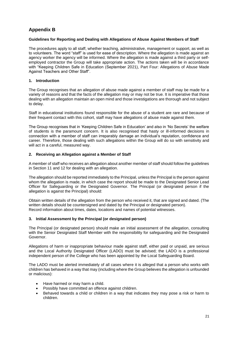# <span id="page-20-0"></span>**Appendix B**

#### <span id="page-20-1"></span>**Guidelines for Reporting and Dealing with Allegations of Abuse Against Members of Staff**

The procedures apply to all staff, whether teaching, administrative, management or support, as well as to volunteers. The word "staff" is used for ease of description. Where the allegation is made against an agency worker the agency will be informed. Where the allegation is made against a third party or selfemployed contractor the Group will take appropriate action. The actions taken will be in accordance with "Keeping Children Safe in Education (September 2021), Part Four: Allegations of Abuse Made Against Teachers and Other Staff".

#### **1. Introduction**

The Group recognises that an allegation of abuse made against a member of staff may be made for a variety of reasons and that the facts of the allegation may or may not be true. It is imperative that those dealing with an allegation maintain an open mind and those investigations are thorough and not subject to delay.

Staff in educational institutions found responsible for the abuse of a student are rare and because of their frequent contact with this cohort, staff may have allegations of abuse made against them.

The Group recognises that in 'Keeping Children Safe in Education' and also in 'No Secrets' the welfare of students is the paramount concern. It is also recognised that hasty or ill-informed decisions in connection with a member of staff can irreparably damage an individual's reputation, confidence and career. Therefore, those dealing with such allegations within the Group will do so with sensitivity and will act in a careful, measured way.

#### **2. Receiving an Allegation against a Member of Staff**

A member of staff who receives an allegation about another member of staff should follow the guidelines in Section 11 and 12 for dealing with an allegation.

The allegation should be reported immediately to the Principal, unless the Principal is the person against whom the allegation is made, in which case the report should be made to the Designated Senior Lead Officer for Safeguarding or the Designated Governor. The Principal (or designated person if the allegation is against the Principal) should:

Obtain written details of the allegation from the person who received it, that are signed and dated. (The written details should be countersigned and dated by the Principal or designated person). Record information about times, dates, locations and names of potential witnesses.

#### **3. Initial Assessment by the Principal (or designated person)**

The Principal (or designated person) should make an initial assessment of the allegation, consulting with the Senior Designated Staff Member with the responsibility for safeguarding and the Designated Governor.

Allegations of harm or inappropriate behaviour made against staff, either paid or unpaid, are serious and the Local Authority Designated Officer (LADO) must be advised; the LADO is a professional independent person of the College who has been appointed by the Local Safeguarding Board.

The LADO must be alerted immediately of all cases where it is alleged that a person who works with children has behaved in a way that may (including where the Group believes the allegation is unfounded or malicious):

- Have harmed or may harm a child.
- Possibly have committed an offence against children.
- Behaved towards a child or children in a way that indicates they may pose a risk or harm to children.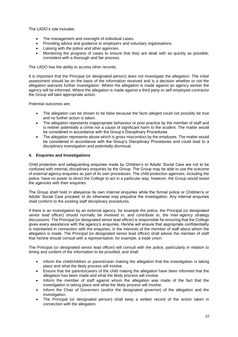The LADO's role includes:

- The management and oversight of individual cases.
- Providing advice and guidance to employers and voluntary organisations.
- Liaising with the police and other agencies.
- Monitoring the progress of cases to ensure that they are dealt with as quickly as possible, consistent with a thorough and fair process.

The LADO has the ability to access other records.

It is important that the Principal (or designated person) does not investigate the allegation. The initial assessment should be on the basis of the information received and is a decision whether or not the allegation warrants further investigation. Where the allegation is made against an agency worker the agency will be informed. Where the allegation is made against a third party or self-employed contractor the Group will take appropriate action.

Potential outcomes are:

- The allegation can be shown to be false because the facts alleged could not possibly be true and no further action is taken.
- The allegation represents inappropriate behaviour or poor practice by the member of staff and is neither potentially a crime nor a cause of significant harm to the student. The matter would be considered in accordance with the Group's Disciplinary Procedures.
- The allegation represents abuse which is gross misconduct by the employee. The matter would be considered in accordance with the Group's Disciplinary Procedures and could lead to a disciplinary investigation and potentially dismissal.

#### **4. Enquiries and Investigations**

Child protection and safeguarding enquiries made by Children's or Adults' Social Care are not to be confused with internal, disciplinary enquiries by the Group. The Group may be able to use the outcome of external agency enquiries as part of its own procedures. The child protection agencies, including the police, have no power to direct the College to act in a particular way; however, the Group would assist the agencies with their enquiries.

The Group shall hold in abeyance its own internal enquiries while the formal police or Children's or Adults' Social Care proceed; to do otherwise may prejudice the investigation. Any internal enquiries shall conform to the existing staff disciplinary procedures.

If there is an investigation by an external agency, for example the police, the Principal (or designated senior lead officer) should normally be involved in, and contribute to, the inter-agency strategy discussions. The Principal (or designated senior lead officer) is responsible for ensuring that the College gives every assistance with the agency's enquiries. He/she will ensure that appropriate confidentiality is maintained in connection with the enquiries, in the interests of the member of staff about whom the allegation is made. The Principal (or designated senior lead officer) shall advise the member of staff that he/she should consult with a representative, for example, a trade union.

The Principal (or designated senior lead officer) will consult with the police, particularly in relation to timing and content of the information to be provided, and shall:

- Inform the child/children or parent/carer making the allegation that the investigation is taking place and what the likely process will involve.
- Ensure that the parents/carers of the child making the allegation have been informed that the allegation has been made and what the likely process will involve.
- Inform the member of staff against whom the allegation was made of the fact that the investigation is taking place and what the likely process will involve.
- Inform the Chair of Governors (and/or the designated governor) of the allegation and the investigation.
- The Principal (or designated person) shall keep a written record of the action taken in connection with the allegation.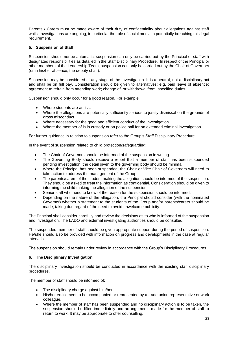Parents / Carers must be made aware of their duty of confidentiality about allegations against staff whilst investigations are ongoing, in particular the role of social media in potentially breaching this legal requirement.

#### **5. Suspension of Staff**

Suspension should not be automatic; suspension can only be carried out by the Principal or staff with designated responsibilities as detailed in the Staff Disciplinary Procedure. In respect of the Principal or other members of the Leadership Team, suspension can only be carried out by the Chair of Governors (or in his/her absence, the deputy chair).

Suspension may be considered at any stage of the investigation. It is a neutral, not a disciplinary act and shall be on full pay. Consideration should be given to alternatives: e.g. paid leave of absence; agreement to refrain from attending work; change of, or withdrawal from, specified duties.

Suspension should only occur for a good reason. For example:

- Where students are at risk.
- Where the allegations are potentially sufficiently serious to justify dismissal on the grounds of gross misconduct.
- Where necessary for the good and efficient conduct of the investigation.
- Where the member of is in custody or on police bail for an extended criminal investigation.

For further guidance in relation to suspension refer to the Group's Staff Disciplinary Procedure.

In the event of suspension related to child protection/safeguarding:

- The Chair of Governors should be informed of the suspension in writing.
- The Governing Body should receive a report that a member of staff has been suspended pending investigation, the detail given to the governing body should be minimal.
- Where the Principal has been suspended, the Chair or Vice Chair of Governors will need to take action to address the management of the Group.
- The parents/carers of the student making the allegation should be informed of the suspension. They should be asked to treat the information as confidential. Consideration should be given to informing the child making the allegation of the suspension.
- Senior staff who need to know of the reason for the suspension should be informed.
- Depending on the nature of the allegation, the Principal should consider (with the nominated Governor) whether a statement to the students of the Group and/or parents/carers should be made, taking due regard of the need to avoid unwelcome publicity.

The Principal shall consider carefully and review the decisions as to who is informed of the suspension and investigation. The LADO and external investigating authorities should be consulted.

The suspended member of staff should be given appropriate support during the period of suspension. He/she should also be provided with information on progress and developments in the case at regular intervals.

The suspension should remain under review in accordance with the Group's Disciplinary Procedures.

#### **6. The Disciplinary Investigation**

The disciplinary investigation should be conducted in accordance with the existing staff disciplinary procedures.

The member of staff should be informed of:

- The disciplinary charge against him/her.
- His/her entitlement to be accompanied or represented by a trade union representative or work colleague.
- Where the member of staff has been suspended and no disciplinary action is to be taken, the suspension should be lifted immediately and arrangements made for the member of staff to return to work. It may be appropriate to offer counselling.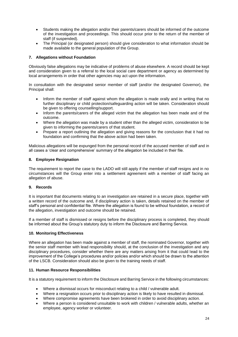- Students making the allegation and/or their parents/carers should be informed of the outcome of the investigation and proceedings. This should occur prior to the return of the member of staff (if suspended).
- The Principal (or designated person) should give consideration to what information should be made available to the general population of the Group.

#### **7. Allegations without Foundation**

Obviously false allegations may be indicative of problems of abuse elsewhere. A record should be kept and consideration given to a referral to the local social care department or agency as determined by local arrangements in order that other agencies may act upon the information.

In consultation with the designated senior member of staff (and/or the designated Governor), the Principal shall:

- Inform the member of staff against whom the allegation is made orally and in writing that no further disciplinary or child protection/safeguarding action will be taken. Consideration should be given to offering counselling/support.
- Inform the parents/carers of the alleged victim that the allegation has been made and of the outcome.
- Where the allegation was made by a student other than the alleged victim, consideration to be given to informing the parents/carers of that student.
- Prepare a report outlining the allegation and giving reasons for the conclusion that it had no foundation and confirming that the above action had been taken.

Malicious allegations will be expunged from the personal record of the accused member of staff and in all cases a 'clear and comprehensive' summary of the allegation be included in their file.

#### **8. Employee Resignation**

The requirement to report the case to the LADO will still apply if the member of staff resigns and in no circumstances will the Group enter into a settlement agreement with a member of staff facing an allegation of abuse.

#### **9. Records**

It is important that documents relating to an investigation are retained in a secure place, together with a written record of the outcome and, if disciplinary action is taken, details retained on the member of staff's personal and confidential file. Where the allegation is found to be without foundation, a record of the allegation, investigation and outcome should be retained.

If a member of staff is dismissed or resigns before the disciplinary process is completed, they should be informed about the Group's statutory duty to inform the Disclosure and Barring Service.

#### **10. Monitoring Effectiveness**

Where an allegation has been made against a member of staff, the nominated Governor, together with the senior staff member with lead responsibility should, at the conclusion of the investigation and any disciplinary procedures, consider whether there are any matters arising from it that could lead to the improvement of the College's procedures and/or policies and/or which should be drawn to the attention of the LSCB. Consideration should also be given to the training needs of staff.

#### **11. Human Resource Responsibilities**

It is a statutory requirement to inform the Disclosure and Barring Service in the following circumstances:

- Where a dismissal occurs for misconduct relating to a child / vulnerable adult.
- Where a resignation occurs prior to disciplinary action is likely to have resulted in dismissal.
- Where compromise agreements have been brokered in order to avoid disciplinary action.
- Where a person is considered unsuitable to work with children / vulnerable adults, whether an employee, agency worker or volunteer.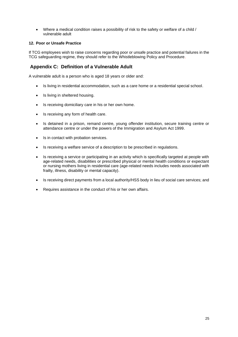• Where a medical condition raises a possibility of risk to the safety or welfare of a child / vulnerable adult

#### **12. Poor or Unsafe Practice**

If TCG employees wish to raise concerns regarding poor or unsafe practice and potential failures in the TCG safeguarding regime, they should refer to the Whistleblowing Policy and Procedure.

# <span id="page-24-0"></span>**Appendix C: Definition of a Vulnerable Adult**

A vulnerable adult is a person who is aged 18 years or older and:

- Is living in residential accommodation, such as a care home or a residential special school.
- Is living in sheltered housing.
- Is receiving domiciliary care in his or her own home.
- Is receiving any form of health care.
- Is detained in a prison, remand centre, young offender institution, secure training centre or attendance centre or under the powers of the Immigration and Asylum Act 1999.
- Is in contact with probation services.
- Is receiving a welfare service of a description to be prescribed in regulations.
- Is receiving a service or participating in an activity which is specifically targeted at people with age-related needs, disabilities or prescribed physical or mental health conditions or expectant or nursing mothers living in residential care (age-related needs includes needs associated with frailty, illness, disability or mental capacity).
- Is receiving direct payments from a local authority/HSS body in lieu of social care services; and
- Requires assistance in the conduct of his or her own affairs.